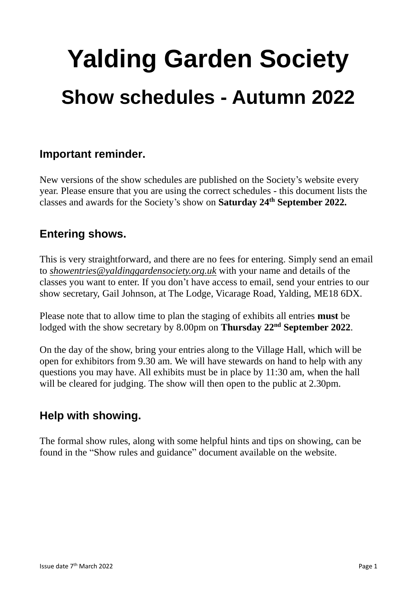# **Yalding Garden Society Show schedules - Autumn 2022**

## **Important reminder.**

New versions of the show schedules are published on the Society's website every year. Please ensure that you are using the correct schedules - this document lists the classes and awards for the Society's show on **Saturday 24 th September 2022.**

# **Entering shows.**

This is very straightforward, and there are no fees for entering. Simply send an email to *showentries@yaldinggardensociety.org.uk* with your name and details of the classes you want to enter. If you don't have access to email, send your entries to our show secretary, Gail Johnson, at The Lodge, Vicarage Road, Yalding, ME18 6DX.

Please note that to allow time to plan the staging of exhibits all entries **must** be lodged with the show secretary by 8.00pm on **Thursday 22<sup>nd</sup> September 2022**.

On the day of the show, bring your entries along to the Village Hall, which will be open for exhibitors from 9.30 am. We will have stewards on hand to help with any questions you may have. All exhibits must be in place by 11:30 am, when the hall will be cleared for judging. The show will then open to the public at 2.30pm.

# **Help with showing.**

The formal show rules, along with some helpful hints and tips on showing, can be found in the "Show rules and guidance" document available on the website.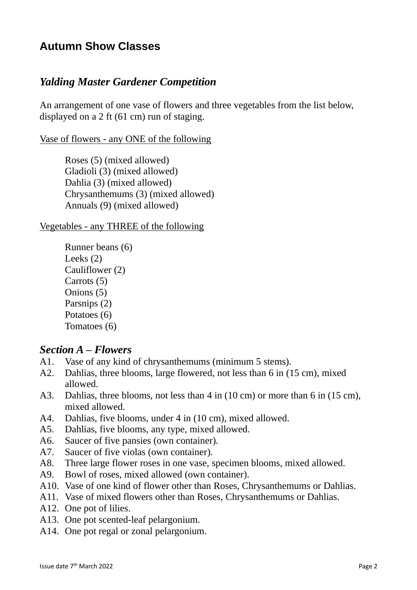# **Autumn Show Classes**

## *Yalding Master Gardener Competition*

An arrangement of one vase of flowers and three vegetables from the list below, displayed on a 2 ft (61 cm) run of staging.

Vase of flowers - any ONE of the following

Roses (5) (mixed allowed) Gladioli (3) (mixed allowed) Dahlia (3) (mixed allowed) Chrysanthemums (3) (mixed allowed) Annuals (9) (mixed allowed)

Vegetables - any THREE of the following

Runner beans (6) Leeks (2) Cauliflower (2) Carrots (5) Onions (5) Parsnips (2) Potatoes (6) Tomatoes (6)

#### *Section A – Flowers*

- A1. Vase of any kind of chrysanthemums (minimum 5 stems).
- A2. Dahlias, three blooms, large flowered, not less than 6 in (15 cm), mixed allowed.
- A3. Dahlias, three blooms, not less than 4 in (10 cm) or more than 6 in (15 cm), mixed allowed.
- A4. Dahlias, five blooms, under 4 in (10 cm), mixed allowed.
- A5. Dahlias, five blooms, any type, mixed allowed.
- A6. Saucer of five pansies (own container).
- A7. Saucer of five violas (own container).
- A8. Three large flower roses in one vase, specimen blooms, mixed allowed.
- A9. Bowl of roses, mixed allowed (own container).
- A10. Vase of one kind of flower other than Roses, Chrysanthemums or Dahlias.
- A11. Vase of mixed flowers other than Roses, Chrysanthemums or Dahlias.
- A12. One pot of lilies.
- A13. One pot scented-leaf pelargonium.
- A14. One pot regal or zonal pelargonium.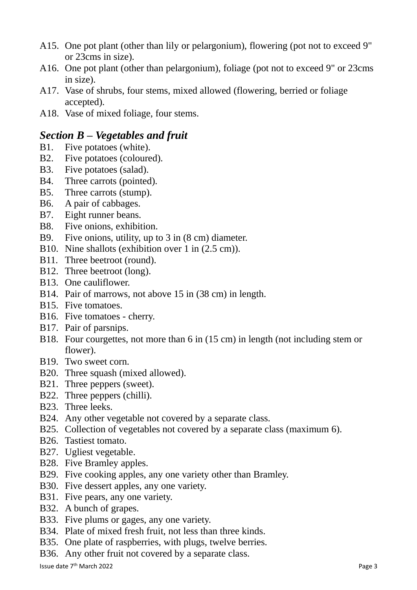- A15. One pot plant (other than lily or pelargonium), flowering (pot not to exceed 9" or 23cms in size).
- A16. One pot plant (other than pelargonium), foliage (pot not to exceed 9" or 23cms in size).
- A17. Vase of shrubs, four stems, mixed allowed (flowering, berried or foliage accepted).
- A18. Vase of mixed foliage, four stems.

## *Section B – Vegetables and fruit*

- B1. Five potatoes (white).
- B2. Five potatoes (coloured).
- B3. Five potatoes (salad).
- B4. Three carrots (pointed).
- B5. Three carrots (stump).
- B6. A pair of cabbages.
- B7. Eight runner beans.
- B8. Five onions, exhibition.
- B9. Five onions, utility, up to 3 in (8 cm) diameter.
- B10. Nine shallots (exhibition over 1 in (2.5 cm)).
- B11. Three beetroot (round).
- B12. Three beetroot (long).
- B13. One cauliflower.
- B14. Pair of marrows, not above 15 in (38 cm) in length.
- B15. Five tomatoes.
- B16. Five tomatoes cherry.
- B17. Pair of parsnips.
- B18. Four courgettes, not more than 6 in (15 cm) in length (not including stem or flower).
- B19. Two sweet corn.
- B20. Three squash (mixed allowed).
- B21. Three peppers (sweet).
- B22. Three peppers (chilli).
- B23. Three leeks.
- B24. Any other vegetable not covered by a separate class.
- B25. Collection of vegetables not covered by a separate class (maximum 6).
- B26. Tastiest tomato.
- B27. Ugliest vegetable.
- B28. Five Bramley apples.
- B29. Five cooking apples, any one variety other than Bramley.
- B30. Five dessert apples, any one variety.
- B31. Five pears, any one variety.
- B32. A bunch of grapes.
- B33. Five plums or gages, any one variety.
- B34. Plate of mixed fresh fruit, not less than three kinds.
- B35. One plate of raspberries, with plugs, twelve berries.
- B36. Any other fruit not covered by a separate class.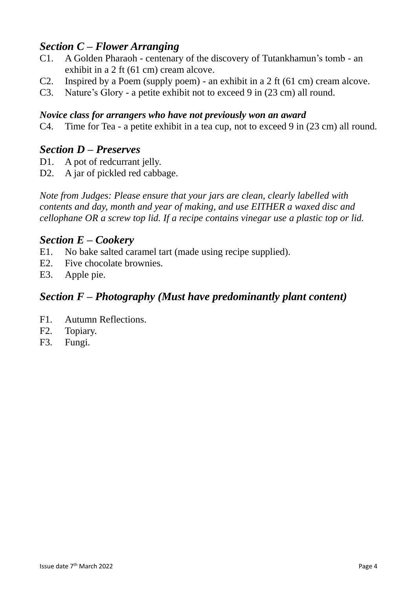## *Section C – Flower Arranging*

- C1. A Golden Pharaoh centenary of the discovery of Tutankhamun's tomb an exhibit in a 2 ft (61 cm) cream alcove.
- C2. Inspired by a Poem (supply poem) an exhibit in a 2 ft (61 cm) cream alcove.
- C3. Nature's Glory a petite exhibit not to exceed 9 in (23 cm) all round.

#### *Novice class for arrangers who have not previously won an award*

C4. Time for Tea - a petite exhibit in a tea cup, not to exceed 9 in (23 cm) all round.

#### *Section D – Preserves*

- D1. A pot of redcurrant jelly.
- D2. A jar of pickled red cabbage.

*Note from Judges: Please ensure that your jars are clean, clearly labelled with contents and day, month and year of making, and use EITHER a waxed disc and cellophane OR a screw top lid. If a recipe contains vinegar use a plastic top or lid.*

#### *Section E – Cookery*

- E1. No bake salted caramel tart (made using recipe supplied).
- E2. Five chocolate brownies.
- E3. Apple pie.

## *Section F – Photography (Must have predominantly plant content)*

- F1. Autumn Reflections.
- F2. Topiary.
- F3. Fungi.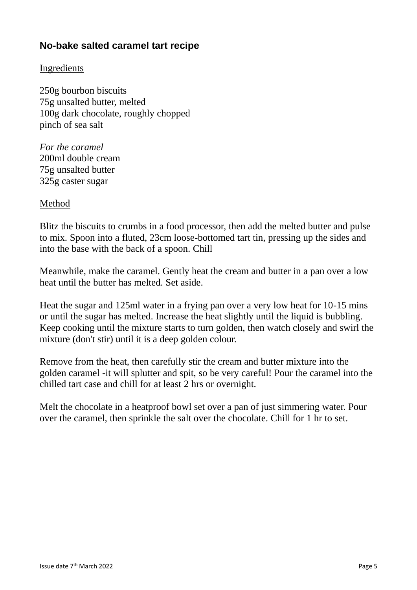## **No-bake salted caramel tart recipe**

#### Ingredients

250g bourbon biscuits 75g unsalted butter, melted 100g dark chocolate, roughly chopped pinch of sea salt

*For the caramel* 200ml double cream 75g unsalted butter 325g caster sugar

Method

Blitz the biscuits to crumbs in a food processor, then add the melted butter and pulse to mix. Spoon into a fluted, 23cm loose-bottomed tart tin, pressing up the sides and into the base with the back of a spoon. Chill

Meanwhile, make the caramel. Gently heat the cream and butter in a pan over a low heat until the butter has melted. Set aside.

Heat the sugar and 125ml water in a frying pan over a very low heat for 10-15 mins or until the sugar has melted. Increase the heat slightly until the liquid is bubbling. Keep cooking until the mixture starts to turn golden, then watch closely and swirl the mixture (don't stir) until it is a deep golden colour.

Remove from the heat, then carefully stir the cream and butter mixture into the golden caramel -it will splutter and spit, so be very careful! Pour the caramel into the chilled tart case and chill for at least 2 hrs or overnight.

Melt the chocolate in a heatproof bowl set over a pan of just simmering water. Pour over the caramel, then sprinkle the salt over the chocolate. Chill for 1 hr to set.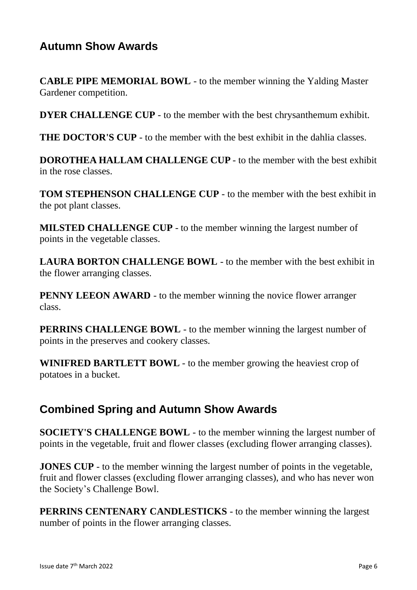# **Autumn Show Awards**

**CABLE PIPE MEMORIAL BOWL** - to the member winning the Yalding Master Gardener competition.

**DYER CHALLENGE CUP** - to the member with the best chrysanthemum exhibit.

**THE DOCTOR'S CUP** - to the member with the best exhibit in the dahlia classes.

**DOROTHEA HALLAM CHALLENGE CUP** - to the member with the best exhibit in the rose classes.

**TOM STEPHENSON CHALLENGE CUP** - to the member with the best exhibit in the pot plant classes.

**MILSTED CHALLENGE CUP** - to the member winning the largest number of points in the vegetable classes.

**LAURA BORTON CHALLENGE BOWL** - to the member with the best exhibit in the flower arranging classes.

**PENNY LEEON AWARD** - to the member winning the novice flower arranger class.

**PERRINS CHALLENGE BOWL** - to the member winning the largest number of points in the preserves and cookery classes.

**WINIFRED BARTLETT BOWL** - to the member growing the heaviest crop of potatoes in a bucket.

## **Combined Spring and Autumn Show Awards**

**SOCIETY'S CHALLENGE BOWL** - to the member winning the largest number of points in the vegetable, fruit and flower classes (excluding flower arranging classes).

**JONES CUP** - to the member winning the largest number of points in the vegetable, fruit and flower classes (excluding flower arranging classes), and who has never won the Society's Challenge Bowl.

**PERRINS CENTENARY CANDLESTICKS** - to the member winning the largest number of points in the flower arranging classes.